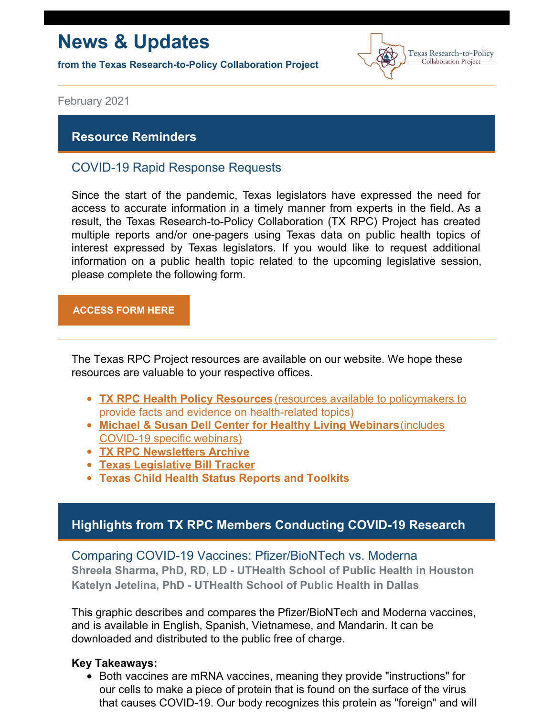# **News & Updates**

**from the Texas Research-to-Policy Collaboration Project**



February 2021

#### **Resource Reminders**

#### COVID-19 Rapid Response Requests

Since the start of the pandemic, Texas legislators have expressed the need for access to accurate information in a timely manner from experts in the field. As a result, the Texas Research-to-Policy Collaboration (TX RPC) Project has created multiple reports and/or one-pagers using Texas data on public health topics of interest expressed by Texas legislators. If you would like to request additional information on a public health topic related to the upcoming legislative session, please complete the following form.

#### **[ACCESS](https://docs.google.com/forms/u/2/d/1Wugxw_5Z2snWP5rEmX4N88dLKRnqrsAPYug_bCWMdCo/viewform?edit_requested=true) FORM HERE**

The Texas RPC Project resources are available on our website. We hope these resources are valuable to your respective offices.

- **TX RPC Health Policy [Resources](https://sph.uth.edu/research/centers/dell/legislative-initiatives/texas-rpc-resources)** (resources available to policymakers to provide facts and evidence on [health-related](https://sph.uth.edu/research/centers/dell/legislative-initiatives/texas-rpc-resources) topics)
- **Michael & Susan Dell Center for Healthy Living [Webinars](https://sph.uth.edu/research/centers/dell/webinars/)**(includes [COVID-19](https://sph.uth.edu/research/centers/dell/webinars/) specific webinars)
- **TX RPC [Newsletters](https://sph.uth.edu/research/centers/dell/legislative-initiatives/rpc-newsletters) Archive**
- **Texas [Legislative](https://sph.uth.edu/research/centers/dell/87th-texas-legislative-session/index.htm) Bill Tracker**
- **Texas Child Health Status [Reports](https://sph.uth.edu/research/centers/dell/texas-child-health-status-report/index.htm) and Toolkits**

#### **Highlights from TX RPC Members Conducting COVID-19 Research**

Comparing COVID-19 Vaccines: Pfizer/BioNTech vs. Moderna **Shreela Sharma, PhD, RD, LD - UTHealth School of Public Health in Houston Katelyn Jetelina, PhD - UTHealth School of Public Health in Dallas**

This graphic describes and compares the Pfizer/BioNTech and Moderna vaccines, and is available in English, Spanish, Vietnamese, and Mandarin. It can be downloaded and distributed to the public free of charge.

#### **Key Takeaways:**

Both vaccines are mRNA vaccines, meaning they provide "instructions" for our cells to make a piece of protein that is found on the surface of the virus that causes COVID-19. Our body recognizes this protein as "foreign" and will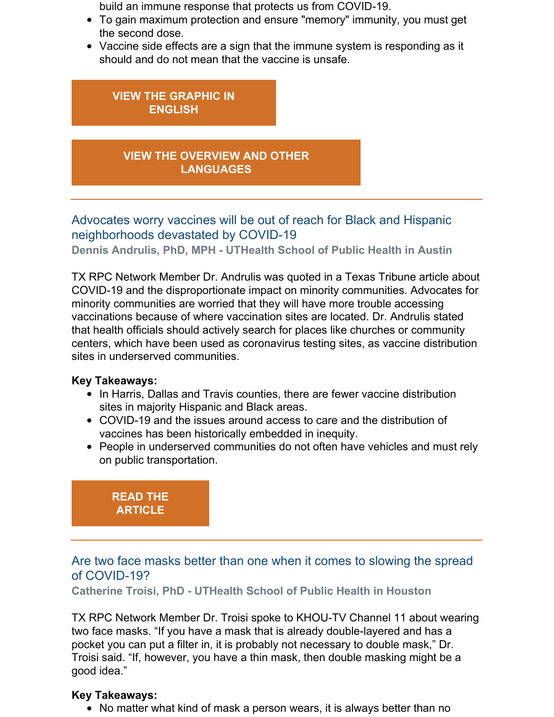build an immune response that protects us from COVID-19.

- To gain maximum protection and ensure "memory" immunity, you must get the second dose.
- Vaccine side effects are a sign that the immune system is responding as it should and do not mean that the vaccine is unsafe.

#### **VIEW THE [GRAPHIC](https://sph.uth.edu/research/centers/dell/legislative-initiatives/Pfizer+BioNTech+vs.+Moderna.pdf?language_id=1) IN ENGLISH**

### **VIEW THE OVERVIEW AND OTHER [LANGUAGES](https://sph.uth.edu/research/centers/dell/legislative-initiatives/texas-rpc-resources)**

Advocates worry vaccines will be out of reach for Black and Hispanic neighborhoods devastated by COVID-19

**Dennis Andrulis, PhD, MPH - UTHealth School of Public Health in Austin**

TX RPC Network Member Dr. Andrulis was quoted in a Texas Tribune article about COVID-19 and the disproportionate impact on minority communities. Advocates for minority communities are worried that they will have more trouble accessing vaccinations because of where vaccination sites are located. Dr. Andrulis stated that health officials should actively search for places like churches or community centers, which have been used as coronavirus testing sites, as vaccine distribution sites in underserved communities.

#### **Key Takeaways:**

- In Harris, Dallas and Travis counties, there are fewer vaccine distribution sites in majority Hispanic and Black areas.
- COVID-19 and the issues around access to care and the distribution of vaccines has been historically embedded in inequity.
- People in underserved communities do not often have vehicles and must rely on public transportation.

### **READ THE [ARTICLE](https://www.texastribune.org/2021/01/09/texas-coronavirus-vaccine-racial-inequality/)**

### Are two face masks better than one when it comes to slowing the spread of COVID-19?

**Catherine Troisi, PhD - UTHealth School of Public Health in Houston**

TX RPC Network Member Dr. Troisi spoke to KHOU-TV Channel 11 about wearing two face masks. "If you have a mask that is already double-layered and has a pocket you can put a filter in, it is probably not necessary to double mask," Dr. Troisi said. "If, however, you have a thin mask, then double masking might be a good idea."

#### **Key Takeaways:**

No matter what kind of mask a person wears, it is always better than no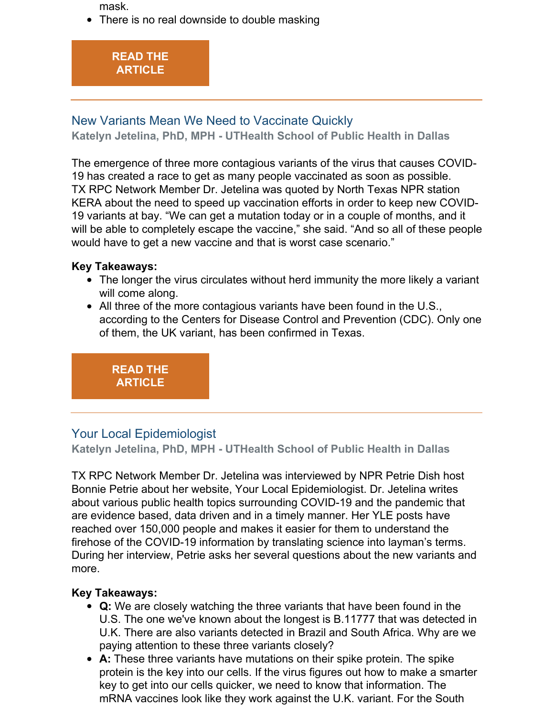mask.

• There is no real downside to double masking



# New Variants Mean We Need to Vaccinate Quickly

**Katelyn Jetelina, PhD, MPH - UTHealth School of Public Health in Dallas**

The emergence of three more contagious variants of the virus that causes COVID-19 has created a race to get as many people vaccinated as soon as possible. TX RPC Network Member Dr. Jetelina was quoted by North Texas NPR station KERA about the need to speed up vaccination efforts in order to keep new COVID-19 variants at bay. "We can get a mutation today or in a couple of months, and it will be able to completely escape the vaccine," she said. "And so all of these people would have to get a new vaccine and that is worst case scenario."

#### **Key Takeaways:**

- The longer the virus circulates without herd immunity the more likely a variant will come along.
- All three of the more contagious variants have been found in the U.S., according to the Centers for Disease Control and Prevention (CDC). Only one of them, the UK variant, has been confirmed in Texas.

**READ THE [ARTICLE](https://www.keranews.org/texas-news/2020-08-23/covid-19-live-updates-tarrant-county-reports-212-new-cases-10-deaths)**

# Your Local Epidemiologist

**Katelyn Jetelina, PhD, MPH - UTHealth School of Public Health in Dallas**

TX RPC Network Member Dr. Jetelina was interviewed by NPR Petrie Dish host Bonnie Petrie about her website, Your Local Epidemiologist. Dr. Jetelina writes about various public health topics surrounding COVID-19 and the pandemic that are evidence based, data driven and in a timely manner. Her YLE posts have reached over 150,000 people and makes it easier for them to understand the firehose of the COVID-19 information by translating science into layman's terms. During her interview, Petrie asks her several questions about the new variants and more.

#### **Key Takeaways:**

- **Q:** We are closely watching the three variants that have been found in the U.S. The one we've known about the longest is B.11777 that was detected in U.K. There are also variants detected in Brazil and South Africa. Why are we paying attention to these three variants closely?
- **A:** These three variants have mutations on their spike protein. The spike protein is the key into our cells. If the virus figures out how to make a smarter key to get into our cells quicker, we need to know that information. The mRNA vaccines look like they work against the U.K. variant. For the South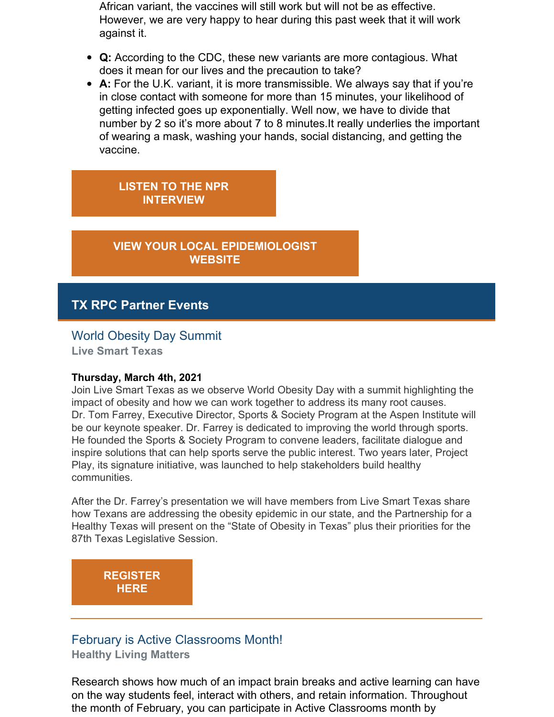African variant, the vaccines will still work but will not be as effective. However, we are very happy to hear during this past week that it will work against it.

- **Q:** According to the CDC, these new variants are more contagious. What does it mean for our lives and the precaution to take?
- **A:** For the U.K. variant, it is more transmissible. We always say that if you're in close contact with someone for more than 15 minutes, your likelihood of getting infected goes up exponentially. Well now, we have to divide that number by 2 so it's more about 7 to 8 minutes.It really underlies the important of wearing a mask, washing your hands, social distancing, and getting the vaccine.

**LISTEN TO THE NPR [INTERVIEW](https://one.npr.org/?sharedMediaId=963581010:963581012&fbclid=IwAR0Ao9LTokmy_b2RNnyR_yYZALQG6w4DSPvWXnMx8GX_ywjseYBctCCWm_U)**

**VIEW YOUR LOCAL [EPIDEMIOLOGIST](https://yourlocalepidemiologist.com/) WEBSITE**

### **TX RPC Partner Events**

#### World Obesity Day Summit

**Live Smart Texas**

#### **Thursday, March 4th, 2021**

Join Live Smart Texas as we observe World Obesity Day with a summit highlighting the impact of obesity and how we can work together to address its many root causes. Dr. Tom Farrey, Executive Director, Sports & Society Program at the Aspen Institute will be our keynote speaker. Dr. Farrey is dedicated to improving the world through sports. He founded the Sports & Society Program to convene leaders, facilitate dialogue and inspire solutions that can help sports serve the public interest. Two years later, Project Play, its signature initiative, was launched to help stakeholders build healthy communities.

After the Dr. Farrey's presentation we will have members from Live Smart Texas share how Texans are addressing the obesity epidemic in our state, and the Partnership for a Healthy Texas will present on the "State of Obesity in Texas" plus their priorities for the 87th Texas Legislative Session.

**[REGISTER](https://register.gotowebinar.com/register/8340122664445275149) HERE**

# February is Active Classrooms Month!

**Healthy Living Matters**

Research shows how much of an impact brain breaks and active learning can have on the way students feel, interact with others, and retain information. Throughout the month of February, you can participate in Active Classrooms month by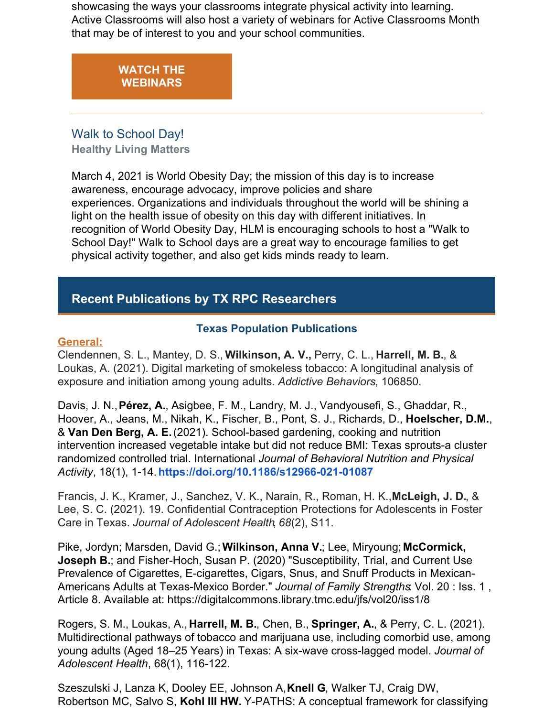showcasing the ways your classrooms integrate physical activity into learning. Active Classrooms will also host a variety of webinars for Active Classrooms Month that may be of interest to you and your school communities.

# **WATCH THE [WEBINARS](https://www.activeschoolsus.org/wp-content/uploads/2021/01/AC-Webinars-Website-PDF.pdf?utm_source=Winter+2021%3A+HLM+School+Health+Newsletter+&utm_campaign=Winter+2021+Edition%3A+HLM+School+Health+Newsletter&utm_medium=email)** Walk to School Day!

**Healthy Living Matters**

March 4, 2021 is World Obesity Day; the mission of this day is to increase awareness, encourage advocacy, improve policies and share experiences. Organizations and individuals throughout the world will be shining a light on the health issue of obesity on this day with different initiatives. In recognition of World Obesity Day, HLM is encouraging schools to host a "Walk to School Day!" Walk to School days are a great way to encourage families to get physical activity together, and also get kids minds ready to learn.

# **Recent Publications by TX RPC Researchers**

#### **Texas Population Publications**

#### **General:**

Clendennen, S. L., Mantey, D. S., **Wilkinson, A. V.,** Perry, C. L., **Harrell, M. B.**, & Loukas, A. (2021). Digital marketing of smokeless tobacco: A longitudinal analysis of exposure and initiation among young adults. *Addictive Behaviors*, 106850.

Davis, J. N.,**Pérez, A.**, Asigbee, F. M., Landry, M. J., Vandyousefi, S., Ghaddar, R., Hoover, A., Jeans, M., Nikah, K., Fischer, B., Pont, S. J., Richards, D., **Hoelscher, D.M.**, & **Van Den Berg, A. E.**(2021). School-based gardening, cooking and nutrition intervention increased vegetable intake but did not reduce BMI: Texas sprouts-a cluster randomized controlled trial. International *Journal of Behavioral Nutrition and Physical Activity*, 18(1), 1-14. **<https://doi.org/10.1186/s12966-021-01087>**

Francis, J. K., Kramer, J., Sanchez, V. K., Narain, R., Roman, H. K.,**McLeigh, J. D.**, & Lee, S. C. (2021). 19. Confidential Contraception Protections for Adolescents in Foster Care in Texas. *Journal of Adolescent Health*, *68*(2), S11.

Pike, Jordyn; Marsden, David G.;**Wilkinson, Anna V.**; Lee, Miryoung; **McCormick, Joseph B.**; and Fisher-Hoch, Susan P. (2020) "Susceptibility, Trial, and Current Use Prevalence of Cigarettes, E-cigarettes, Cigars, Snus, and Snuff Products in Mexican-Americans Adults at Texas-Mexico Border." *Journal of Family Strengths*: Vol. 20 : Iss. 1 , Article 8. Available at[:](https://urldefense.proofpoint.com/v2/url?u=http-3A__r20.rs6.net_tn.jsp-3Ff-3D001l1Mj4akUGrkA-2DlKvLmVf9SdOuVXSYgaYTkqG5LJ6SRGMjg4p3l7quPIlmlfno-2DFXSCrENYO2A8YcX0mQfEJxCVctclNyOTuVonaIcuqkt-2DwZGXR9Xah6gUeQy23wu80s-2DF7Hy6VE3ryOFPlBDLP-2D3qI8-2D7LJklkeCmv8Ph8PMMI9M5K7NA0XAvSjZYDQD7IgwETu2BYlFIMcdP9ZPnF-5FhmU2DAbvK-5FgX-26c-3Db8v8gINiGniOOmf1A3c-2DCIyc7JZyCYo2wW9B7VbZwHKm20iRHsDUNQ-3D-3D-26ch-3Dra2V4pQBxypIFSohaM3d0rPOiS1073iqkNtFowN6s-2D0LDpITmRFGFQ-3D-3D&d=DwMFaQ&c=bKRySV-ouEg_AT-w2QWsTdd9X__KYh9Eq2fdmQDVZgw&r=1HnrjCY1GmiJlYRrRioTnbNaf8hS1cnTlXCojViEPCY&m=wPxZ4RWRdKmMTsnWRXP370R5E-i3W1mcQyBMQl__VCU&s=LHxKll1638N7uxBQ0B1DrwH3fTfKs0xPLK7tvASaKfI&e=) <https://digitalcommons.library.tmc.edu/jfs/vol20/iss1/8>

Rogers, S. M., Loukas, A., **Harrell, M. B.**, Chen, B., **Springer, A.**, & Perry, C. L. (2021). Multidirectional pathways of tobacco and marijuana use, including comorbid use, among young adults (Aged 18–25 Years) in Texas: A six-wave cross-lagged model. *Journal of Adolescent Health*, 68(1), 116-122.

Szeszulski J, Lanza K, Dooley EE, Johnson A,**Knell G**, Walker TJ, Craig DW, Robertson MC, Salvo S, **Kohl III HW.** Y-PATHS: A conceptual framework for classifying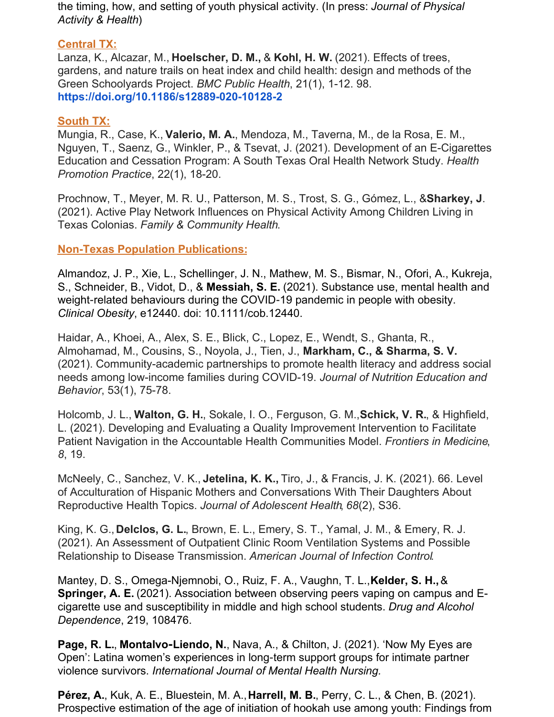the timing, how, and setting of youth physical activity. (In press: *Journal of Physical Activity & Health*)

#### **Central TX:**

Lanza, K., Alcazar, M., **Hoelscher, D. M.,** & **Kohl, H. W.** (2021). Effects of trees, gardens, and nature trails on heat index and child health: design and methods of the Green Schoolyards Project. *BMC Public Health*, 21(1), 1-12. 98. **<https://doi.org/10.1186/s12889-020-10128-2>**

#### **South TX:**

Mungia, R., Case, K., **Valerio, M. A.**, Mendoza, M., Taverna, M., de la Rosa, E. M., Nguyen, T., Saenz, G., Winkler, P., & Tsevat, J. (2021). Development of an E-Cigarettes Education and Cessation Program: A South Texas Oral Health Network Study. *Health Promotion Practice*, 22(1), 18-20.

Prochnow, T., Meyer, M. R. U., Patterson, M. S., Trost, S. G., Gómez, L., &**Sharkey, J**. (2021). Active Play Network Influences on Physical Activity Among Children Living in Texas Colonias. *Family & Community Health*.

#### **Non-Texas Population Publications:**

Almandoz, J. P., Xie, L., Schellinger, J. N., Mathew, M. S., Bismar, N., Ofori, A., Kukreja, S., Schneider, B., Vidot, D., & **Messiah, S. E.** (2021). Substance use, mental health and weight-related behaviours during the COVID-19 pandemic in people with obesity. *Clinical Obesity*, e12440. doi: 10.1111/cob.12440.

Haidar, A., Khoei, A., Alex, S. E., Blick, C., Lopez, E., Wendt, S., Ghanta, R., Almohamad, M., Cousins, S., Noyola, J., Tien, J., **Markham, C., & Sharma, S. V.** (2021). Community-academic partnerships to promote health literacy and address social needs among low-income families during COVID-19. *Journal of Nutrition Education and Behavior*, 53(1), 75-78.

Holcomb, J. L., **Walton, G. H.**, Sokale, I. O., Ferguson, G. M.,**Schick, V. R.**, & Highfield, L. (2021). Developing and Evaluating a Quality Improvement Intervention to Facilitate Patient Navigation in the Accountable Health Communities Model. *Frontiers in Medicine*, *8*, 19.

McNeely, C., Sanchez, V. K., **Jetelina, K. K.,** Tiro, J., & Francis, J. K. (2021). 66. Level of Acculturation of Hispanic Mothers and Conversations With Their Daughters About Reproductive Health Topics. *Journal of Adolescent Health*, *68*(2), S36.

King, K. G.,**Delclos, G. L.**, Brown, E. L., Emery, S. T., Yamal, J. M., & Emery, R. J. (2021). An Assessment of Outpatient Clinic Room Ventilation Systems and Possible Relationship to Disease Transmission. *American Journal of Infection Control*.

Mantey, D. S., Omega-Njemnobi, O., Ruiz, F. A., Vaughn, T. L.,**Kelder, S. H.,**& **Springer, A. E.** (2021). Association between observing peers vaping on campus and Ecigarette use and susceptibility in middle and high school students. *Drug and Alcohol Dependence*, 219, 108476.

**Page, R. L.**, **Montalvo‐Liendo, N.**, Nava, A., & Chilton, J. (2021). 'Now My Eyes are Open': Latina women's experiences in long‐term support groups for intimate partner violence survivors. *International Journal of Mental Health Nursing.*

**Pérez, A.**, Kuk, A. E., Bluestein, M. A.,**Harrell, M. B.**, Perry, C. L., & Chen, B. (2021). Prospective estimation of the age of initiation of hookah use among youth: Findings from